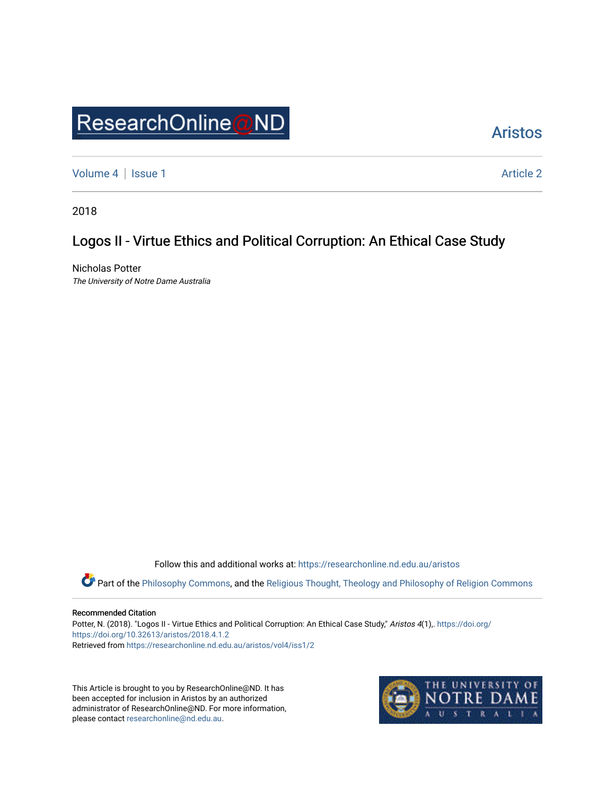# ResearchOnline@ND

## [Aristos](https://researchonline.nd.edu.au/aristos)

[Volume 4](https://researchonline.nd.edu.au/aristos/vol4) | [Issue 1](https://researchonline.nd.edu.au/aristos/vol4/iss1) Article 2

2018

## Logos II - Virtue Ethics and Political Corruption: An Ethical Case Study

Nicholas Potter The University of Notre Dame Australia

Follow this and additional works at: [https://researchonline.nd.edu.au/aristos](https://researchonline.nd.edu.au/aristos?utm_source=researchonline.nd.edu.au%2Faristos%2Fvol4%2Fiss1%2F2&utm_medium=PDF&utm_campaign=PDFCoverPages) 

Part of the [Philosophy Commons](http://network.bepress.com/hgg/discipline/525?utm_source=researchonline.nd.edu.au%2Faristos%2Fvol4%2Fiss1%2F2&utm_medium=PDF&utm_campaign=PDFCoverPages), and the [Religious Thought, Theology and Philosophy of Religion Commons](http://network.bepress.com/hgg/discipline/544?utm_source=researchonline.nd.edu.au%2Faristos%2Fvol4%2Fiss1%2F2&utm_medium=PDF&utm_campaign=PDFCoverPages) 

#### Recommended Citation

Potter, N. (2018). "Logos II - Virtue Ethics and Political Corruption: An Ethical Case Study," Aristos 4(1),. [https://doi.org/](https://doi.org/https://doi.org/10.32613/aristos/2018.4.1.2) [https://doi.org/10.32613/aristos/2018.4.1.2](https://doi.org/https://doi.org/10.32613/aristos/2018.4.1.2) Retrieved from [https://researchonline.nd.edu.au/aristos/vol4/iss1/2](https://researchonline.nd.edu.au/aristos/vol4/iss1/2?utm_source=researchonline.nd.edu.au%2Faristos%2Fvol4%2Fiss1%2F2&utm_medium=PDF&utm_campaign=PDFCoverPages)

This Article is brought to you by ResearchOnline@ND. It has been accepted for inclusion in Aristos by an authorized administrator of ResearchOnline@ND. For more information, please contact [researchonline@nd.edu.au.](mailto:researchonline@nd.edu.au)

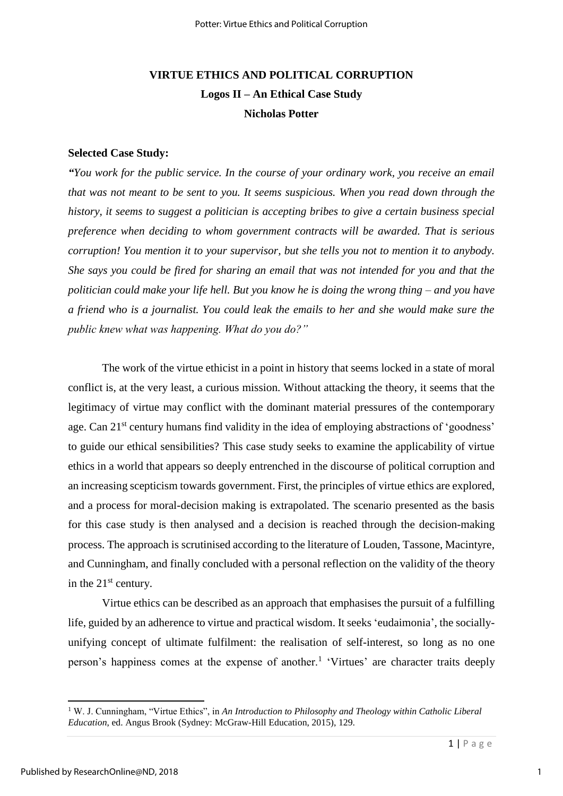## **VIRTUE ETHICS AND POLITICAL CORRUPTION Logos II – An Ethical Case Study Nicholas Potter**

#### **Selected Case Study:**

*"You work for the public service. In the course of your ordinary work, you receive an email that was not meant to be sent to you. It seems suspicious. When you read down through the history, it seems to suggest a politician is accepting bribes to give a certain business special preference when deciding to whom government contracts will be awarded. That is serious corruption! You mention it to your supervisor, but she tells you not to mention it to anybody. She says you could be fired for sharing an email that was not intended for you and that the politician could make your life hell. But you know he is doing the wrong thing – and you have a friend who is a journalist. You could leak the emails to her and she would make sure the public knew what was happening. What do you do?"*

The work of the virtue ethicist in a point in history that seems locked in a state of moral conflict is, at the very least, a curious mission. Without attacking the theory, it seems that the legitimacy of virtue may conflict with the dominant material pressures of the contemporary age. Can 21<sup>st</sup> century humans find validity in the idea of employing abstractions of 'goodness' to guide our ethical sensibilities? This case study seeks to examine the applicability of virtue ethics in a world that appears so deeply entrenched in the discourse of political corruption and an increasing scepticism towards government. First, the principles of virtue ethics are explored, and a process for moral-decision making is extrapolated. The scenario presented as the basis for this case study is then analysed and a decision is reached through the decision-making process. The approach is scrutinised according to the literature of Louden, Tassone, Macintyre, and Cunningham, and finally concluded with a personal reflection on the validity of the theory in the  $21<sup>st</sup>$  century.

Virtue ethics can be described as an approach that emphasises the pursuit of a fulfilling life, guided by an adherence to virtue and practical wisdom. It seeks 'eudaimonia', the sociallyunifying concept of ultimate fulfilment: the realisation of self-interest, so long as no one person's happiness comes at the expense of another.<sup>1</sup> 'Virtues' are character traits deeply

<sup>1</sup> W. J. Cunningham, "Virtue Ethics", in *An Introduction to Philosophy and Theology within Catholic Liberal Education*, ed. Angus Brook (Sydney: McGraw-Hill Education, 2015), 129.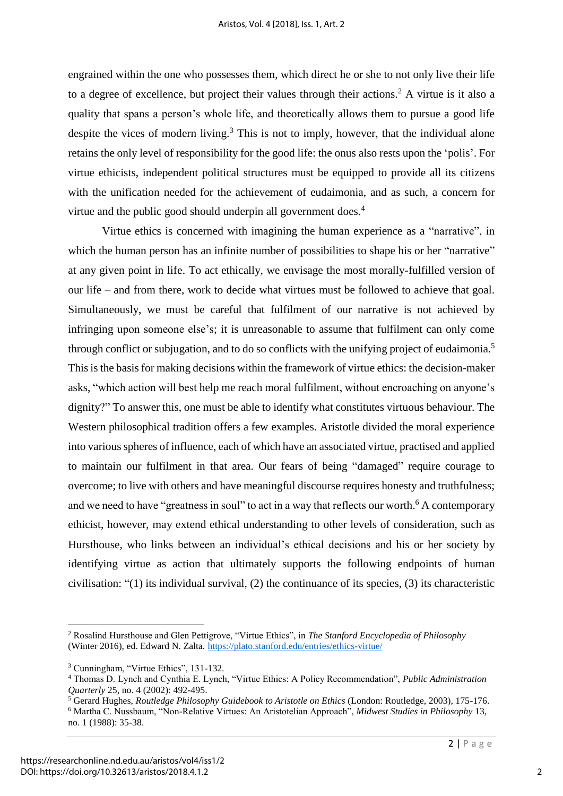engrained within the one who possesses them, which direct he or she to not only live their life to a degree of excellence, but project their values through their actions.<sup>2</sup> A virtue is it also a quality that spans a person's whole life, and theoretically allows them to pursue a good life despite the vices of modern living.<sup>3</sup> This is not to imply, however, that the individual alone retains the only level of responsibility for the good life: the onus also rests upon the 'polis'. For virtue ethicists, independent political structures must be equipped to provide all its citizens with the unification needed for the achievement of eudaimonia, and as such, a concern for virtue and the public good should underpin all government does.<sup>4</sup>

Virtue ethics is concerned with imagining the human experience as a "narrative", in which the human person has an infinite number of possibilities to shape his or her "narrative" at any given point in life. To act ethically, we envisage the most morally-fulfilled version of our life – and from there, work to decide what virtues must be followed to achieve that goal. Simultaneously, we must be careful that fulfilment of our narrative is not achieved by infringing upon someone else's; it is unreasonable to assume that fulfilment can only come through conflict or subjugation, and to do so conflicts with the unifying project of eudaimonia.<sup>5</sup> This is the basis for making decisions within the framework of virtue ethics: the decision-maker asks, "which action will best help me reach moral fulfilment, without encroaching on anyone's dignity?" To answer this, one must be able to identify what constitutes virtuous behaviour. The Western philosophical tradition offers a few examples. Aristotle divided the moral experience into various spheres of influence, each of which have an associated virtue, practised and applied to maintain our fulfilment in that area. Our fears of being "damaged" require courage to overcome; to live with others and have meaningful discourse requires honesty and truthfulness; and we need to have "greatness in soul" to act in a way that reflects our worth.<sup>6</sup> A contemporary ethicist, however, may extend ethical understanding to other levels of consideration, such as Hursthouse, who links between an individual's ethical decisions and his or her society by identifying virtue as action that ultimately supports the following endpoints of human civilisation: "(1) its individual survival, (2) the continuance of its species, (3) its characteristic

 $\overline{a}$ 

<sup>2</sup> Rosalind Hursthouse and Glen Pettigrove, "Virtue Ethics", in *The Stanford Encyclopedia of Philosophy*  (Winter 2016), ed. Edward N. Zalta.<https://plato.stanford.edu/entries/ethics-virtue/>

<sup>3</sup> Cunningham, "Virtue Ethics", 131-132.

<sup>4</sup> Thomas D. Lynch and Cynthia E. Lynch, "Virtue Ethics: A Policy Recommendation", *Public Administration* 

*Quarterly* 25, no. 4 (2002): 492-495. 5 Gerard Hughes, *Routledge Philosophy Guidebook to Aristotle on Ethics* (London: Routledge, 2003), 175-176. <sup>6</sup> Martha C. Nussbaum, "Non-Relative Virtues: An Aristotelian Approach", *Midwest Studies in Philosophy* 13, no. 1 (1988): 35-38.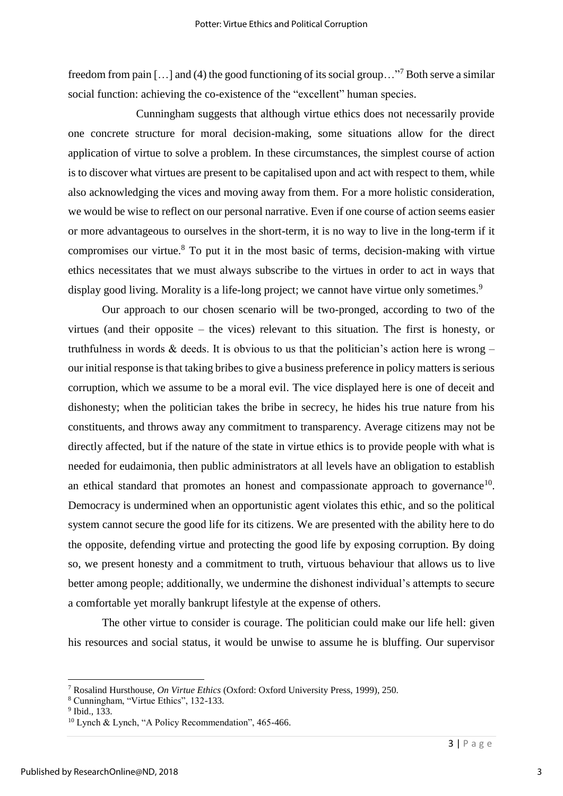freedom from pain [...] and (4) the good functioning of its social group..."<sup>7</sup> Both serve a similar social function: achieving the co-existence of the "excellent" human species.

 Cunningham suggests that although virtue ethics does not necessarily provide one concrete structure for moral decision-making, some situations allow for the direct application of virtue to solve a problem. In these circumstances, the simplest course of action is to discover what virtues are present to be capitalised upon and act with respect to them, while also acknowledging the vices and moving away from them. For a more holistic consideration, we would be wise to reflect on our personal narrative. Even if one course of action seems easier or more advantageous to ourselves in the short-term, it is no way to live in the long-term if it compromises our virtue.<sup>8</sup> To put it in the most basic of terms, decision-making with virtue ethics necessitates that we must always subscribe to the virtues in order to act in ways that display good living. Morality is a life-long project; we cannot have virtue only sometimes.<sup>9</sup>

Our approach to our chosen scenario will be two-pronged, according to two of the virtues (and their opposite – the vices) relevant to this situation. The first is honesty, or truthfulness in words  $\&$  deeds. It is obvious to us that the politician's action here is wrong – our initial response is that taking bribes to give a business preference in policy matters is serious corruption, which we assume to be a moral evil. The vice displayed here is one of deceit and dishonesty; when the politician takes the bribe in secrecy, he hides his true nature from his constituents, and throws away any commitment to transparency. Average citizens may not be directly affected, but if the nature of the state in virtue ethics is to provide people with what is needed for eudaimonia, then public administrators at all levels have an obligation to establish an ethical standard that promotes an honest and compassionate approach to governance<sup>10</sup>. Democracy is undermined when an opportunistic agent violates this ethic, and so the political system cannot secure the good life for its citizens. We are presented with the ability here to do the opposite, defending virtue and protecting the good life by exposing corruption. By doing so, we present honesty and a commitment to truth, virtuous behaviour that allows us to live better among people; additionally, we undermine the dishonest individual's attempts to secure a comfortable yet morally bankrupt lifestyle at the expense of others.

The other virtue to consider is courage. The politician could make our life hell: given his resources and social status, it would be unwise to assume he is bluffing. Our supervisor

<sup>7</sup> Rosalind Hursthouse, *On Virtue Ethics* (Oxford: Oxford University Press, 1999), 250.

<sup>8</sup> Cunningham, "Virtue Ethics", 132-133.

<sup>&</sup>lt;sup>9</sup> Ibid., 133.

<sup>&</sup>lt;sup>10</sup> Lynch & Lynch, "A Policy Recommendation", 465-466.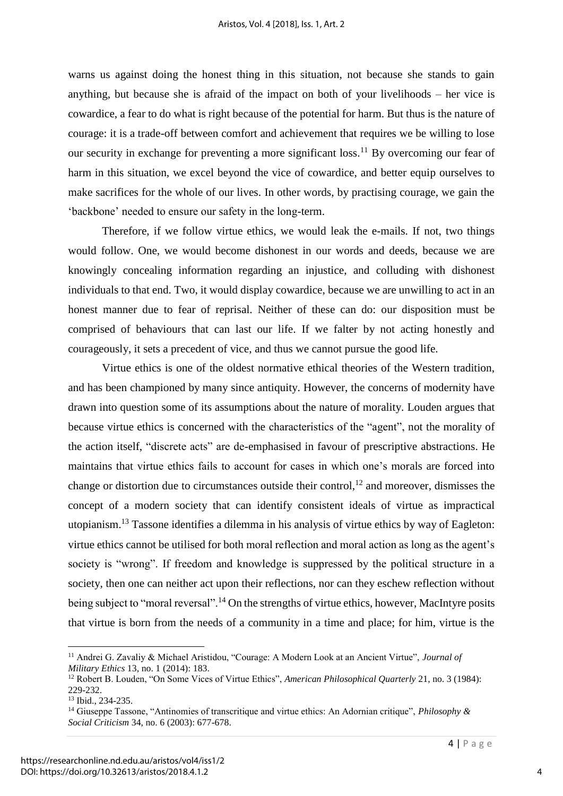warns us against doing the honest thing in this situation, not because she stands to gain anything, but because she is afraid of the impact on both of your livelihoods – her vice is cowardice, a fear to do what is right because of the potential for harm. But thus is the nature of courage: it is a trade-off between comfort and achievement that requires we be willing to lose our security in exchange for preventing a more significant loss.<sup>11</sup> By overcoming our fear of harm in this situation, we excel beyond the vice of cowardice, and better equip ourselves to make sacrifices for the whole of our lives. In other words, by practising courage, we gain the 'backbone' needed to ensure our safety in the long-term.

Therefore, if we follow virtue ethics, we would leak the e-mails. If not, two things would follow. One, we would become dishonest in our words and deeds, because we are knowingly concealing information regarding an injustice, and colluding with dishonest individuals to that end. Two, it would display cowardice, because we are unwilling to act in an honest manner due to fear of reprisal. Neither of these can do: our disposition must be comprised of behaviours that can last our life. If we falter by not acting honestly and courageously, it sets a precedent of vice, and thus we cannot pursue the good life.

Virtue ethics is one of the oldest normative ethical theories of the Western tradition, and has been championed by many since antiquity. However, the concerns of modernity have drawn into question some of its assumptions about the nature of morality. Louden argues that because virtue ethics is concerned with the characteristics of the "agent", not the morality of the action itself, "discrete acts" are de-emphasised in favour of prescriptive abstractions. He maintains that virtue ethics fails to account for cases in which one's morals are forced into change or distortion due to circumstances outside their control,  $^{12}$  and moreover, dismisses the concept of a modern society that can identify consistent ideals of virtue as impractical utopianism.<sup>13</sup> Tassone identifies a dilemma in his analysis of virtue ethics by way of Eagleton: virtue ethics cannot be utilised for both moral reflection and moral action as long as the agent's society is "wrong". If freedom and knowledge is suppressed by the political structure in a society, then one can neither act upon their reflections, nor can they eschew reflection without being subject to "moral reversal".<sup>14</sup> On the strengths of virtue ethics, however, MacIntyre posits that virtue is born from the needs of a community in a time and place; for him, virtue is the

<sup>11</sup> Andrei G. Zavaliy & Michael Aristidou, "Courage: A Modern Look at an Ancient Virtue", *Journal of Military Ethics* 13, no. 1 (2014): 183.

<sup>12</sup> Robert B. Louden, "On Some Vices of Virtue Ethics", *American Philosophical Quarterly* 21, no. 3 (1984): 229-232.

<sup>13</sup> Ibid., 234-235.

<sup>14</sup> Giuseppe Tassone, "Antinomies of transcritique and virtue ethics: An Adornian critique", *Philosophy & Social Criticism* 34, no. 6 (2003): 677-678.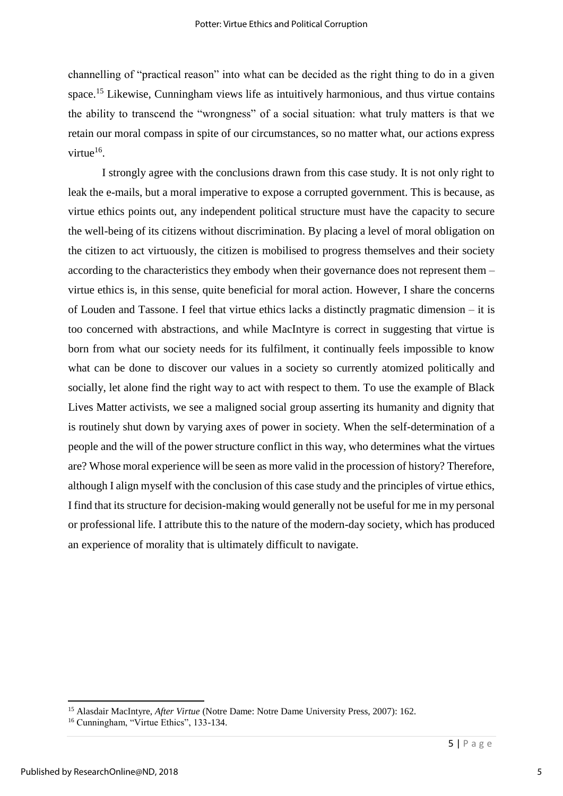channelling of "practical reason" into what can be decided as the right thing to do in a given space.<sup>15</sup> Likewise, Cunningham views life as intuitively harmonious, and thus virtue contains the ability to transcend the "wrongness" of a social situation: what truly matters is that we retain our moral compass in spite of our circumstances, so no matter what, our actions express virtue<sup>16</sup>.

I strongly agree with the conclusions drawn from this case study. It is not only right to leak the e-mails, but a moral imperative to expose a corrupted government. This is because, as virtue ethics points out, any independent political structure must have the capacity to secure the well-being of its citizens without discrimination. By placing a level of moral obligation on the citizen to act virtuously, the citizen is mobilised to progress themselves and their society according to the characteristics they embody when their governance does not represent them – virtue ethics is, in this sense, quite beneficial for moral action. However, I share the concerns of Louden and Tassone. I feel that virtue ethics lacks a distinctly pragmatic dimension – it is too concerned with abstractions, and while MacIntyre is correct in suggesting that virtue is born from what our society needs for its fulfilment, it continually feels impossible to know what can be done to discover our values in a society so currently atomized politically and socially, let alone find the right way to act with respect to them. To use the example of Black Lives Matter activists, we see a maligned social group asserting its humanity and dignity that is routinely shut down by varying axes of power in society. When the self-determination of a people and the will of the power structure conflict in this way, who determines what the virtues are? Whose moral experience will be seen as more valid in the procession of history? Therefore, although I align myself with the conclusion of this case study and the principles of virtue ethics, I find that its structure for decision-making would generally not be useful for me in my personal or professional life. I attribute this to the nature of the modern-day society, which has produced an experience of morality that is ultimately difficult to navigate.

<sup>15</sup> Alasdair MacIntyre, *After Virtue* (Notre Dame: Notre Dame University Press, 2007): 162.

<sup>16</sup> Cunningham, "Virtue Ethics", 133-134.